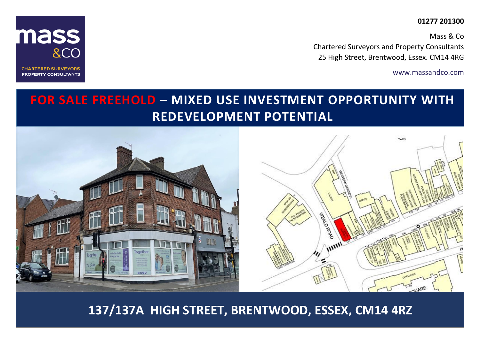# **01277 201300**

Mass & Co Chartered Surveyors and Property Consultants 25 High Street, Brentwood, Essex. CM14 4RG

www.massandco.com



**CHARTERED SURVEYORS PROPERTY CONSULTANTS** 

# **FOR SALE FREEHOLD – MIXED USE INVESTMENT OPPORTUNITY WITH REDEVELOPMENT POTENTIAL**



**137/137A HIGH STREET, BRENTWOOD, ESSEX, CM14 4RZ**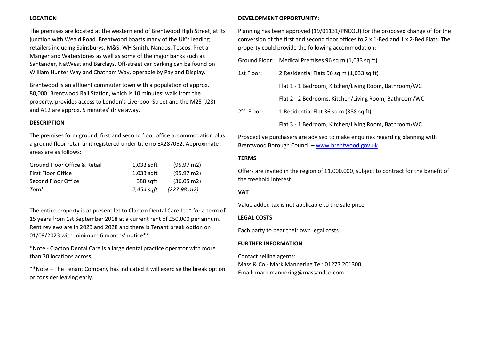## **LOCATION**

The premises are located at the western end of Brentwood High Street, at its junction with Weald Road. Brentwood boasts many of the UK's leading retailers including Sainsburys, M&S, WH Smith, Nandos, Tescos, Pret a Manger and Waterstones as well as some of the major banks such as Santander, NatWest and Barclays. Off-street car parking can be found on William Hunter Way and Chatham Way, operable by Pay and Display.

Brentwood is an affluent commuter town with a population of approx. 80,000. Brentwood Rail Station, which is 10 minutes' walk from the property, provides access to London's Liverpool Street and the M25 (J28) and A12 are approx. 5 minutes' drive away.

#### **DESCRIPTION**

The premises form ground, first and second floor office accommodation plus a ground floor retail unit registered under title no EX287052. Approximate areas are as follows:

| Ground Floor Office & Retail | 1,033 sqft   | $(95.97 \text{ m2})$ |
|------------------------------|--------------|----------------------|
| <b>First Floor Office</b>    | $1,033$ sqft | $(95.97 \text{ m2})$ |
| Second Floor Office          | 388 sqft     | $(36.05 \text{ m2})$ |
| Total                        | 2.454 saft   | (227.98 m2)          |

The entire property is at present let to Clacton Dental Care Ltd\* for a term of 15 years from 1st September 2018 at a current rent of £50,000 per annum. Rent reviews are in 2023 and 2028 and there is Tenant break option on 01/09/2023 with minimum 6 months' notice\*\*.

\*Note - Clacton Dental Care is a large dental practice operator with more than 30 locations across.

\*\*Note – The Tenant Company has indicated it will exercise the break option or consider leaving early.

#### **DEVELOPMENT OPPORTUNITY:**

Planning has been approved (19/01131/PNCOU) for the proposed change of for the conversion of the first and second floor offices to 2 x 1-Bed and 1 x 2-Bed Flats. **T**he property could provide the following accommodation:

|              | Ground Floor: Medical Premises 96 sq m (1,033 sq ft)  |  |
|--------------|-------------------------------------------------------|--|
| 1st Floor:   | 2 Residential Flats 96 sq m (1,033 sq ft)             |  |
|              | Flat 1 - 1 Bedroom, Kitchen/Living Room, Bathroom/WC  |  |
|              | Flat 2 - 2 Bedrooms, Kitchen/Living Room, Bathroom/WC |  |
| $2nd$ Floor: | 1 Residential Flat 36 sq m (388 sq ft)                |  |
|              | Flat 3 - 1 Bedroom, Kitchen/Living Room, Bathroom/WC  |  |

Prospective purchasers are advised to make enquiries regarding planning with Brentwood Borough Council – [www.brentwood.gov.uk](http://www.brentwood.gov.uk/)

#### **TERMS**

Offers are invited in the region of £1,000,000, subject to contract for the benefit of the freehold interest.

#### **VAT**

Value added tax is not applicable to the sale price.

## **LEGAL COSTS**

Each party to bear their own legal costs

#### **FURTHER INFORMATION**

Contact selling agents: Mass & Co - Mark Mannering Tel: 01277 201300 Email: mark.mannering@massandco.com